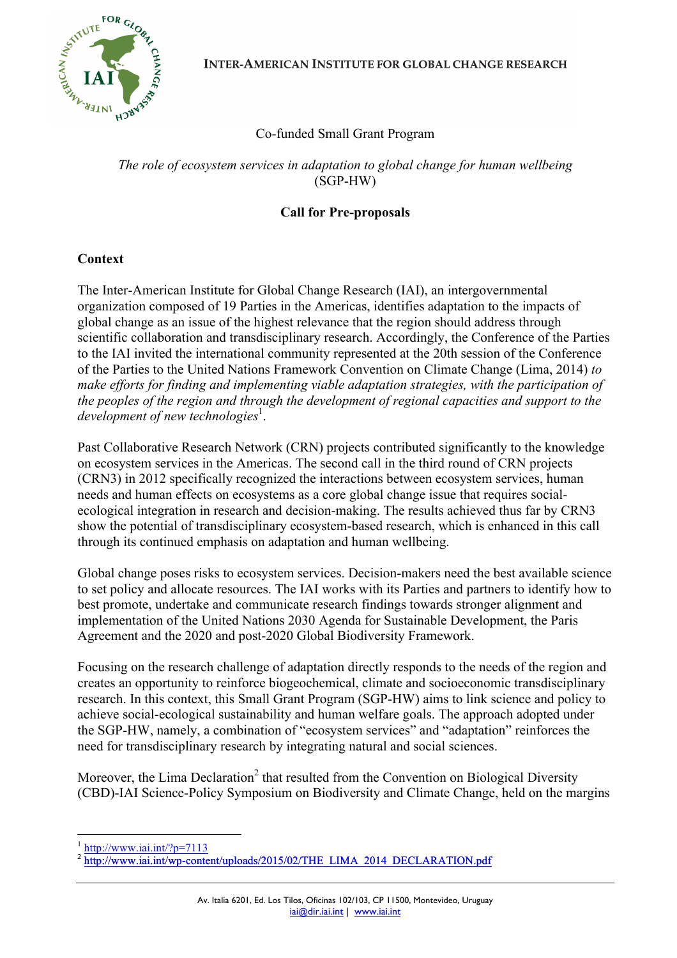

**INTER-AMERICAN INSTITUTE FOR GLOBAL CHANGE RESEARCH** 

# Co-funded Small Grant Program

*The role of ecosystem services in adaptation to global change for human wellbeing* (SGP-HW)

## **Call for Pre-proposals**

#### **Context**

The Inter-American Institute for Global Change Research (IAI), an intergovernmental organization composed of 19 Parties in the Americas, identifies adaptation to the impacts of global change as an issue of the highest relevance that the region should address through scientific collaboration and transdisciplinary research. Accordingly, the Conference of the Parties to the IAI invited the international community represented at the 20th session of the Conference of the Parties to the United Nations Framework Convention on Climate Change (Lima, 2014) *to make efforts for finding and implementing viable adaptation strategies, with the participation of the peoples of the region and through the development of regional capacities and support to the*  development of new technologies<sup>1</sup>.

Past Collaborative Research Network (CRN) projects contributed significantly to the knowledge on ecosystem services in the Americas. The second call in the third round of CRN projects (CRN3) in 2012 specifically recognized the interactions between ecosystem services, human needs and human effects on ecosystems as a core global change issue that requires socialecological integration in research and decision-making. The results achieved thus far by CRN3 show the potential of transdisciplinary ecosystem-based research, which is enhanced in this call through its continued emphasis on adaptation and human wellbeing.

Global change poses risks to ecosystem services. Decision-makers need the best available science to set policy and allocate resources. The IAI works with its Parties and partners to identify how to best promote, undertake and communicate research findings towards stronger alignment and implementation of the United Nations 2030 Agenda for Sustainable Development, the Paris Agreement and the 2020 and post-2020 Global Biodiversity Framework.

Focusing on the research challenge of adaptation directly responds to the needs of the region and creates an opportunity to reinforce biogeochemical, climate and socioeconomic transdisciplinary research. In this context, this Small Grant Program (SGP-HW) aims to link science and policy to achieve social-ecological sustainability and human welfare goals. The approach adopted under the SGP-HW, namely, a combination of "ecosystem services" and "adaptation" reinforces the need for transdisciplinary research by integrating natural and social sciences.

Moreover, the Lima Declaration<sup>2</sup> that resulted from the Convention on Biological Diversity (CBD)-IAI Science-Policy Symposium on Biodiversity and Climate Change, held on the margins

http://www.iai.int/?p=7113

http://www.iai.int/wp-content/uploads/2015/02/THE\_LIMA\_2014\_DECLARATION.pdf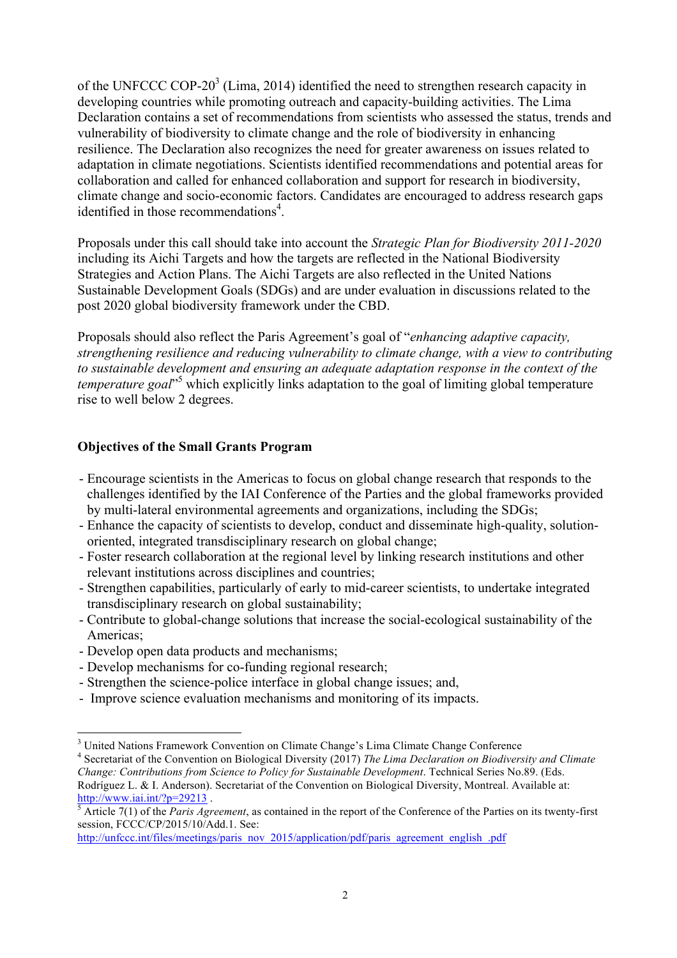of the UNFCCC COP-20 $3$  (Lima, 2014) identified the need to strengthen research capacity in developing countries while promoting outreach and capacity-building activities. The Lima Declaration contains a set of recommendations from scientists who assessed the status, trends and vulnerability of biodiversity to climate change and the role of biodiversity in enhancing resilience. The Declaration also recognizes the need for greater awareness on issues related to adaptation in climate negotiations. Scientists identified recommendations and potential areas for collaboration and called for enhanced collaboration and support for research in biodiversity, climate change and socio-economic factors. Candidates are encouraged to address research gaps identified in those recommendations<sup>4</sup>.

Proposals under this call should take into account the *Strategic Plan for Biodiversity 2011-2020* including its Aichi Targets and how the targets are reflected in the National Biodiversity Strategies and Action Plans. The Aichi Targets are also reflected in the United Nations Sustainable Development Goals (SDGs) and are under evaluation in discussions related to the post 2020 global biodiversity framework under the CBD.

Proposals should also reflect the Paris Agreement's goal of "*enhancing adaptive capacity, strengthening resilience and reducing vulnerability to climate change, with a view to contributing to sustainable development and ensuring an adequate adaptation response in the context of the temperature goal*" <sup>5</sup> which explicitly links adaptation to the goal of limiting global temperature rise to well below 2 degrees.

### **Objectives of the Small Grants Program**

- Encourage scientists in the Americas to focus on global change research that responds to the challenges identified by the IAI Conference of the Parties and the global frameworks provided by multi-lateral environmental agreements and organizations, including the SDGs;
- Enhance the capacity of scientists to develop, conduct and disseminate high-quality, solutionoriented, integrated transdisciplinary research on global change;
- Foster research collaboration at the regional level by linking research institutions and other relevant institutions across disciplines and countries;
- Strengthen capabilities, particularly of early to mid-career scientists, to undertake integrated transdisciplinary research on global sustainability;
- Contribute to global-change solutions that increase the social-ecological sustainability of the Americas;
- Develop open data products and mechanisms;
- Develop mechanisms for co-funding regional research;
- Strengthen the science-police interface in global change issues; and,
- Improve science evaluation mechanisms and monitoring of its impacts.

<sup>&</sup>lt;sup>3</sup> United Nations Framework Convention on Climate Change's Lima Climate Change Conference

<sup>4</sup> Secretariat of the Convention on Biological Diversity (2017) *The Lima Declaration on Biodiversity and Climate Change: Contributions from Science to Policy for Sustainable Development*. Technical Series No.89. (Eds.

Rodríguez L. & I. Anderson). Secretariat of the Convention on Biological Diversity, Montreal. Available at:<br> $\frac{http://www.iai.int/?p=29213}{5}$ .<br>Article 7(1) of the *Paris Agreement* as secretive at the second contribution Article 7(1) of the *Paris Agreement*, as contained in the report of the Conference of the Parties on its twenty-first

session, FCCC/CP/2015/10/Add.1. See:

http://unfccc.int/files/meetings/paris\_nov\_2015/application/pdf/paris\_agreement\_english\_.pdf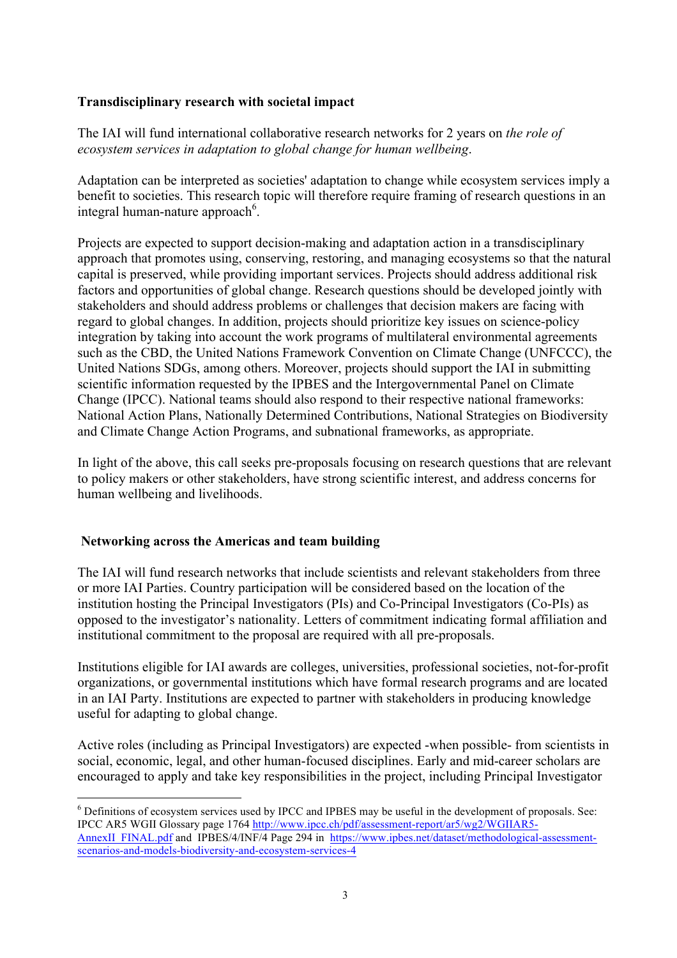#### **Transdisciplinary research with societal impact**

The IAI will fund international collaborative research networks for 2 years on *the role of ecosystem services in adaptation to global change for human wellbeing*.

Adaptation can be interpreted as societies' adaptation to change while ecosystem services imply a benefit to societies. This research topic will therefore require framing of research questions in an integral human-nature approach<sup>6</sup>.

Projects are expected to support decision-making and adaptation action in a transdisciplinary approach that promotes using, conserving, restoring, and managing ecosystems so that the natural capital is preserved, while providing important services. Projects should address additional risk factors and opportunities of global change. Research questions should be developed jointly with stakeholders and should address problems or challenges that decision makers are facing with regard to global changes. In addition, projects should prioritize key issues on science-policy integration by taking into account the work programs of multilateral environmental agreements such as the CBD, the United Nations Framework Convention on Climate Change (UNFCCC), the United Nations SDGs, among others. Moreover, projects should support the IAI in submitting scientific information requested by the IPBES and the Intergovernmental Panel on Climate Change (IPCC). National teams should also respond to their respective national frameworks: National Action Plans, Nationally Determined Contributions, National Strategies on Biodiversity and Climate Change Action Programs, and subnational frameworks, as appropriate.

In light of the above, this call seeks pre-proposals focusing on research questions that are relevant to policy makers or other stakeholders, have strong scientific interest, and address concerns for human wellbeing and livelihoods.

#### **Networking across the Americas and team building**

The IAI will fund research networks that include scientists and relevant stakeholders from three or more IAI Parties. Country participation will be considered based on the location of the institution hosting the Principal Investigators (PIs) and Co-Principal Investigators (Co-PIs) as opposed to the investigator's nationality. Letters of commitment indicating formal affiliation and institutional commitment to the proposal are required with all pre-proposals.

Institutions eligible for IAI awards are colleges, universities, professional societies, not-for-profit organizations, or governmental institutions which have formal research programs and are located in an IAI Party. Institutions are expected to partner with stakeholders in producing knowledge useful for adapting to global change.

Active roles (including as Principal Investigators) are expected -when possible- from scientists in social, economic, legal, and other human-focused disciplines. Early and mid-career scholars are encouraged to apply and take key responsibilities in the project, including Principal Investigator

 <sup>6</sup> Definitions of ecosystem services used by IPCC and IPBES may be useful in the development of proposals. See: IPCC AR5 WGII Glossary page 1764 http://www.ipcc.ch/pdf/assessment-report/ar5/wg2/WGIIAR5- AnnexII\_FINAL.pdf and IPBES/4/INF/4 Page 294 in https://www.ipbes.net/dataset/methodological-assessmentscenarios-and-models-biodiversity-and-ecosystem-services-4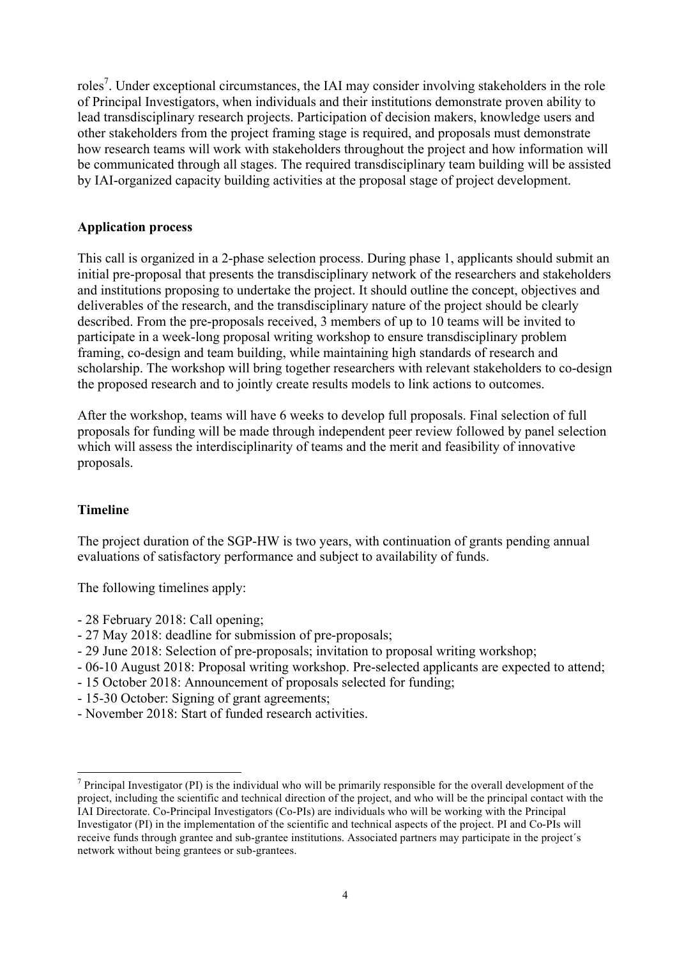roles<sup>7</sup>. Under exceptional circumstances, the IAI may consider involving stakeholders in the role of Principal Investigators, when individuals and their institutions demonstrate proven ability to lead transdisciplinary research projects. Participation of decision makers, knowledge users and other stakeholders from the project framing stage is required, and proposals must demonstrate how research teams will work with stakeholders throughout the project and how information will be communicated through all stages. The required transdisciplinary team building will be assisted by IAI-organized capacity building activities at the proposal stage of project development.

#### **Application process**

This call is organized in a 2-phase selection process. During phase 1, applicants should submit an initial pre-proposal that presents the transdisciplinary network of the researchers and stakeholders and institutions proposing to undertake the project. It should outline the concept, objectives and deliverables of the research, and the transdisciplinary nature of the project should be clearly described. From the pre-proposals received, 3 members of up to 10 teams will be invited to participate in a week-long proposal writing workshop to ensure transdisciplinary problem framing, co-design and team building, while maintaining high standards of research and scholarship. The workshop will bring together researchers with relevant stakeholders to co-design the proposed research and to jointly create results models to link actions to outcomes.

After the workshop, teams will have 6 weeks to develop full proposals. Final selection of full proposals for funding will be made through independent peer review followed by panel selection which will assess the interdisciplinarity of teams and the merit and feasibility of innovative proposals.

#### **Timeline**

The project duration of the SGP-HW is two years, with continuation of grants pending annual evaluations of satisfactory performance and subject to availability of funds.

The following timelines apply:

- 28 February 2018: Call opening;
- 27 May 2018: deadline for submission of pre-proposals;
- 29 June 2018: Selection of pre-proposals; invitation to proposal writing workshop;
- 06-10 August 2018: Proposal writing workshop. Pre-selected applicants are expected to attend;
- 15 October 2018: Announcement of proposals selected for funding;
- 15-30 October: Signing of grant agreements;
- November 2018: Start of funded research activities.

 $7$  Principal Investigator (PI) is the individual who will be primarily responsible for the overall development of the project, including the scientific and technical direction of the project, and who will be the principal contact with the IAI Directorate. Co-Principal Investigators (Co-PIs) are individuals who will be working with the Principal Investigator (PI) in the implementation of the scientific and technical aspects of the project. PI and Co-PIs will receive funds through grantee and sub-grantee institutions. Associated partners may participate in the project´s network without being grantees or sub-grantees.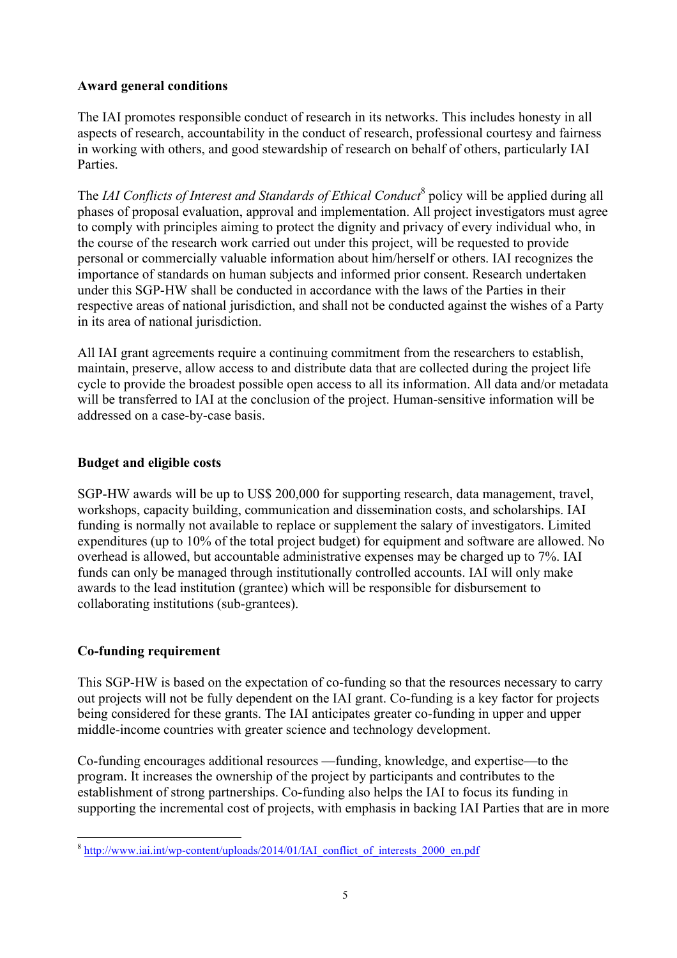### **Award general conditions**

The IAI promotes responsible conduct of research in its networks. This includes honesty in all aspects of research, accountability in the conduct of research, professional courtesy and fairness in working with others, and good stewardship of research on behalf of others, particularly IAI Parties.

The *IAI Conflicts of Interest and Standards of Ethical Conduct*<sup>8</sup> policy will be applied during all phases of proposal evaluation, approval and implementation. All project investigators must agree to comply with principles aiming to protect the dignity and privacy of every individual who, in the course of the research work carried out under this project, will be requested to provide personal or commercially valuable information about him/herself or others. IAI recognizes the importance of standards on human subjects and informed prior consent. Research undertaken under this SGP-HW shall be conducted in accordance with the laws of the Parties in their respective areas of national jurisdiction, and shall not be conducted against the wishes of a Party in its area of national jurisdiction.

All IAI grant agreements require a continuing commitment from the researchers to establish, maintain, preserve, allow access to and distribute data that are collected during the project life cycle to provide the broadest possible open access to all its information. All data and/or metadata will be transferred to IAI at the conclusion of the project. Human-sensitive information will be addressed on a case-by-case basis.

## **Budget and eligible costs**

SGP-HW awards will be up to US\$ 200,000 for supporting research, data management, travel, workshops, capacity building, communication and dissemination costs, and scholarships. IAI funding is normally not available to replace or supplement the salary of investigators. Limited expenditures (up to 10% of the total project budget) for equipment and software are allowed. No overhead is allowed, but accountable administrative expenses may be charged up to 7%. IAI funds can only be managed through institutionally controlled accounts. IAI will only make awards to the lead institution (grantee) which will be responsible for disbursement to collaborating institutions (sub-grantees).

## **Co-funding requirement**

This SGP-HW is based on the expectation of co-funding so that the resources necessary to carry out projects will not be fully dependent on the IAI grant. Co-funding is a key factor for projects being considered for these grants. The IAI anticipates greater co-funding in upper and upper middle-income countries with greater science and technology development.

Co-funding encourages additional resources —funding, knowledge, and expertise—to the program. It increases the ownership of the project by participants and contributes to the establishment of strong partnerships. Co-funding also helps the IAI to focus its funding in supporting the incremental cost of projects, with emphasis in backing IAI Parties that are in more

 <sup>8</sup> http://www.iai.int/wp-content/uploads/2014/01/IAI\_conflict\_of\_interests\_2000\_en.pdf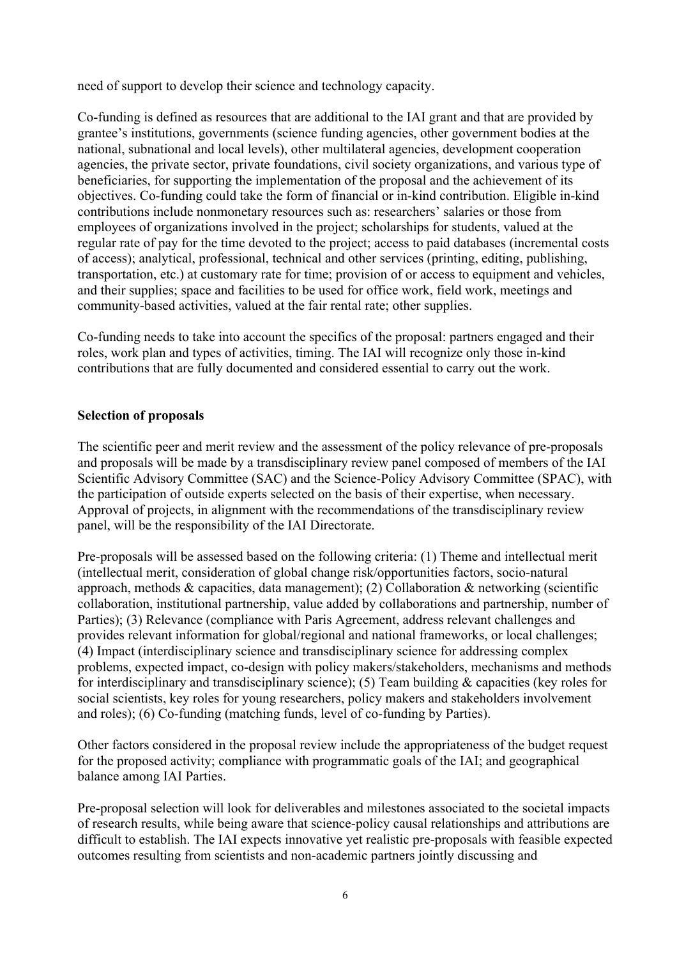need of support to develop their science and technology capacity.

Co-funding is defined as resources that are additional to the IAI grant and that are provided by grantee's institutions, governments (science funding agencies, other government bodies at the national, subnational and local levels), other multilateral agencies, development cooperation agencies, the private sector, private foundations, civil society organizations, and various type of beneficiaries, for supporting the implementation of the proposal and the achievement of its objectives. Co-funding could take the form of financial or in-kind contribution. Eligible in-kind contributions include nonmonetary resources such as: researchers' salaries or those from employees of organizations involved in the project; scholarships for students, valued at the regular rate of pay for the time devoted to the project; access to paid databases (incremental costs of access); analytical, professional, technical and other services (printing, editing, publishing, transportation, etc.) at customary rate for time; provision of or access to equipment and vehicles, and their supplies; space and facilities to be used for office work, field work, meetings and community-based activities, valued at the fair rental rate; other supplies.

Co-funding needs to take into account the specifics of the proposal: partners engaged and their roles, work plan and types of activities, timing. The IAI will recognize only those in-kind contributions that are fully documented and considered essential to carry out the work.

#### **Selection of proposals**

The scientific peer and merit review and the assessment of the policy relevance of pre-proposals and proposals will be made by a transdisciplinary review panel composed of members of the IAI Scientific Advisory Committee (SAC) and the Science-Policy Advisory Committee (SPAC), with the participation of outside experts selected on the basis of their expertise, when necessary. Approval of projects, in alignment with the recommendations of the transdisciplinary review panel, will be the responsibility of the IAI Directorate.

Pre-proposals will be assessed based on the following criteria: (1) Theme and intellectual merit (intellectual merit, consideration of global change risk/opportunities factors, socio-natural approach, methods & capacities, data management); (2) Collaboration & networking (scientific collaboration, institutional partnership, value added by collaborations and partnership, number of Parties); (3) Relevance (compliance with Paris Agreement, address relevant challenges and provides relevant information for global/regional and national frameworks, or local challenges; (4) Impact (interdisciplinary science and transdisciplinary science for addressing complex problems, expected impact, co-design with policy makers/stakeholders, mechanisms and methods for interdisciplinary and transdisciplinary science); (5) Team building & capacities (key roles for social scientists, key roles for young researchers, policy makers and stakeholders involvement and roles); (6) Co-funding (matching funds, level of co-funding by Parties).

Other factors considered in the proposal review include the appropriateness of the budget request for the proposed activity; compliance with programmatic goals of the IAI; and geographical balance among IAI Parties.

Pre-proposal selection will look for deliverables and milestones associated to the societal impacts of research results, while being aware that science-policy causal relationships and attributions are difficult to establish. The IAI expects innovative yet realistic pre-proposals with feasible expected outcomes resulting from scientists and non-academic partners jointly discussing and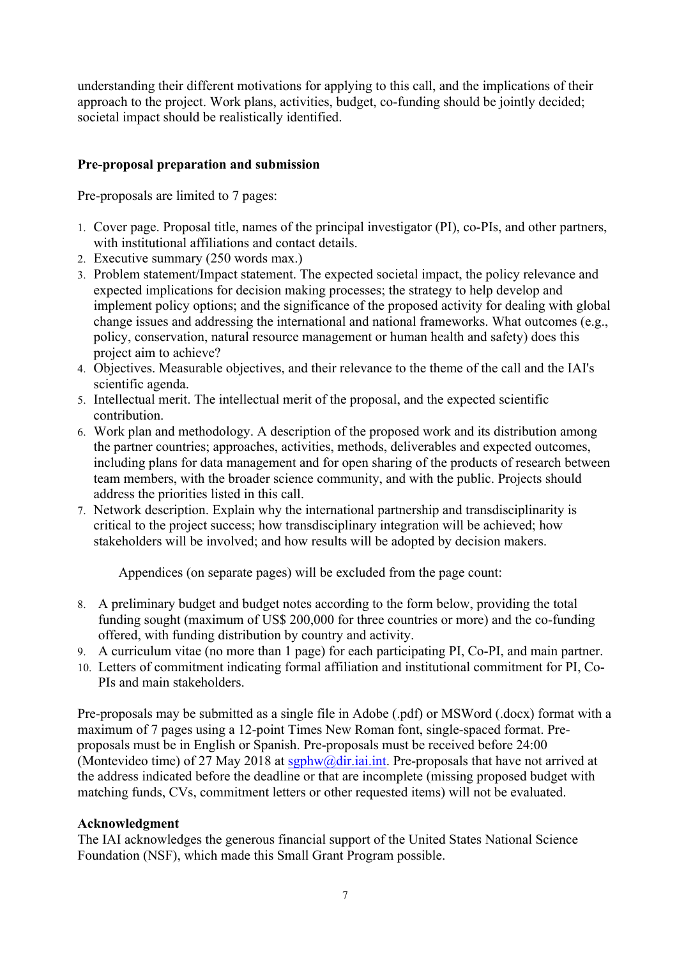understanding their different motivations for applying to this call, and the implications of their approach to the project. Work plans, activities, budget, co-funding should be jointly decided; societal impact should be realistically identified.

### **Pre-proposal preparation and submission**

Pre-proposals are limited to 7 pages:

- 1. Cover page. Proposal title, names of the principal investigator (PI), co-PIs, and other partners, with institutional affiliations and contact details.
- 2. Executive summary (250 words max.)
- 3. Problem statement/Impact statement. The expected societal impact, the policy relevance and expected implications for decision making processes; the strategy to help develop and implement policy options; and the significance of the proposed activity for dealing with global change issues and addressing the international and national frameworks. What outcomes (e.g., policy, conservation, natural resource management or human health and safety) does this project aim to achieve?
- 4. Objectives. Measurable objectives, and their relevance to the theme of the call and the IAI's scientific agenda.
- 5. Intellectual merit. The intellectual merit of the proposal, and the expected scientific contribution.
- 6. Work plan and methodology. A description of the proposed work and its distribution among the partner countries; approaches, activities, methods, deliverables and expected outcomes, including plans for data management and for open sharing of the products of research between team members, with the broader science community, and with the public. Projects should address the priorities listed in this call.
- 7. Network description. Explain why the international partnership and transdisciplinarity is critical to the project success; how transdisciplinary integration will be achieved; how stakeholders will be involved; and how results will be adopted by decision makers.

Appendices (on separate pages) will be excluded from the page count:

- 8. A preliminary budget and budget notes according to the form below, providing the total funding sought (maximum of US\$ 200,000 for three countries or more) and the co-funding offered, with funding distribution by country and activity.
- 9. A curriculum vitae (no more than 1 page) for each participating PI, Co-PI, and main partner.
- 10. Letters of commitment indicating formal affiliation and institutional commitment for PI, Co-PIs and main stakeholders.

Pre-proposals may be submitted as a single file in Adobe (.pdf) or MSWord (.docx) format with a maximum of 7 pages using a 12-point Times New Roman font, single-spaced format. Preproposals must be in English or Spanish. Pre-proposals must be received before 24:00 (Montevideo time) of 27 May 2018 at  $sgphw@dir. iai. int.$  Pre-proposals that have not arrived at the address indicated before the deadline or that are incomplete (missing proposed budget with matching funds, CVs, commitment letters or other requested items) will not be evaluated.

#### **Acknowledgment**

The IAI acknowledges the generous financial support of the United States National Science Foundation (NSF), which made this Small Grant Program possible.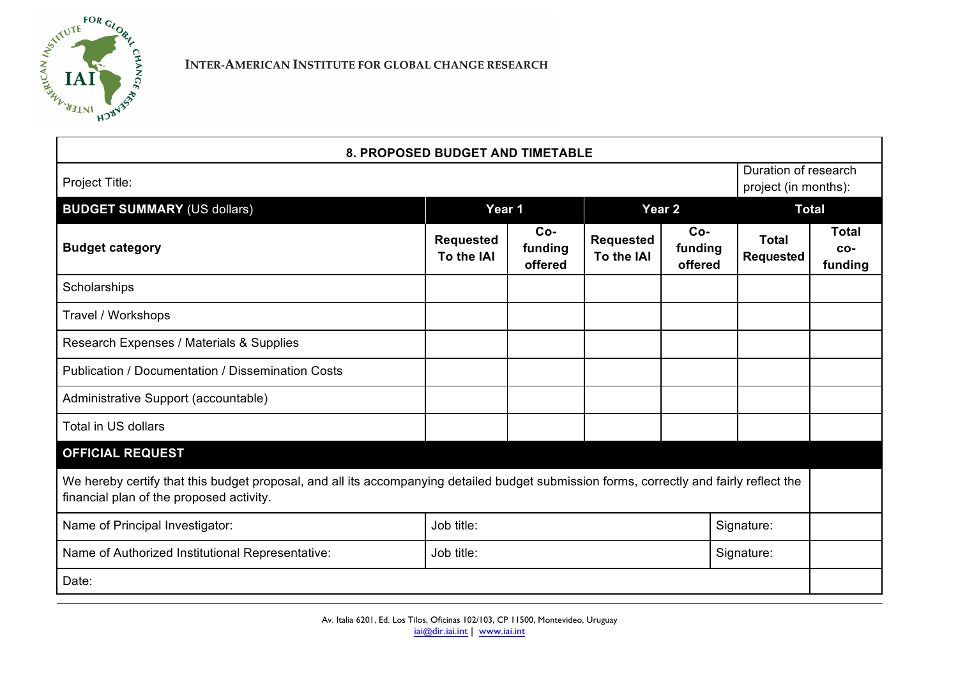

| <b>8. PROPOSED BUDGET AND TIMETABLE</b>                                                                                                                                              |                                |                             |                                |                             |                                  |                                              |  |
|--------------------------------------------------------------------------------------------------------------------------------------------------------------------------------------|--------------------------------|-----------------------------|--------------------------------|-----------------------------|----------------------------------|----------------------------------------------|--|
| Project Title:                                                                                                                                                                       |                                |                             |                                |                             |                                  | Duration of research<br>project (in months): |  |
| <b>BUDGET SUMMARY (US dollars)</b>                                                                                                                                                   | Year 1                         |                             | Year <sub>2</sub>              |                             | <b>Total</b>                     |                                              |  |
| <b>Budget category</b>                                                                                                                                                               | <b>Requested</b><br>To the IAI | $Co-$<br>funding<br>offered | <b>Requested</b><br>To the IAI | $Co-$<br>funding<br>offered | <b>Total</b><br><b>Requested</b> | <b>Total</b><br>CO-<br>funding               |  |
| Scholarships                                                                                                                                                                         |                                |                             |                                |                             |                                  |                                              |  |
| Travel / Workshops                                                                                                                                                                   |                                |                             |                                |                             |                                  |                                              |  |
| Research Expenses / Materials & Supplies                                                                                                                                             |                                |                             |                                |                             |                                  |                                              |  |
| <b>Publication / Documentation / Dissemination Costs</b>                                                                                                                             |                                |                             |                                |                             |                                  |                                              |  |
| Administrative Support (accountable)                                                                                                                                                 |                                |                             |                                |                             |                                  |                                              |  |
| Total in US dollars                                                                                                                                                                  |                                |                             |                                |                             |                                  |                                              |  |
| <b>OFFICIAL REQUEST</b>                                                                                                                                                              |                                |                             |                                |                             |                                  |                                              |  |
| We hereby certify that this budget proposal, and all its accompanying detailed budget submission forms, correctly and fairly reflect the<br>financial plan of the proposed activity. |                                |                             |                                |                             |                                  |                                              |  |
| Name of Principal Investigator:                                                                                                                                                      | Job title:<br>Signature:       |                             |                                |                             |                                  |                                              |  |
| Name of Authorized Institutional Representative:                                                                                                                                     | Job title:                     |                             |                                | Signature:                  |                                  |                                              |  |
| Date:                                                                                                                                                                                |                                |                             |                                |                             |                                  |                                              |  |